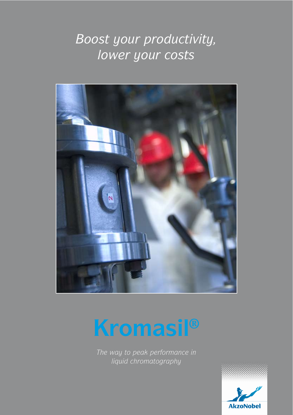# *Boost your productivity, lower your costs*



# **Kromasil®**

*The way to peak performance in liquid chromatography*

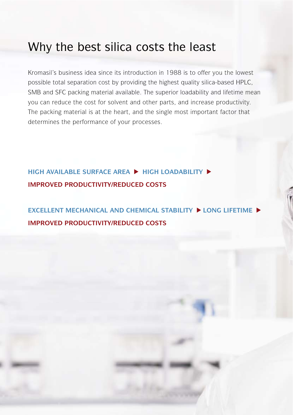### Why the best silica costs the least

Kromasil's business idea since its introduction in 1988 is to offer you the lowest possible total separation cost by providing the highest quality silica-based HPLC, SMB and SFC packing material available. The superior loadability and lifetime mean you can reduce the cost for solvent and other parts, and increase productivity. The packing material is at the heart, and the single most important factor that determines the performance of your processes.

### HIGH AVAILABLE SURFACE AREA **EXITS HIGH LOADABILITY P IMPROVED PRODUCTIVITY/REDUCED COSTS**

### **EXCELLENT MECHANICAL AND CHEMICAL STABILITY**  $\triangleright$  **LONG LIFETIME**  $\triangleright$ **IMPROVED PRODUCTIVITY/REDUCED COSTS**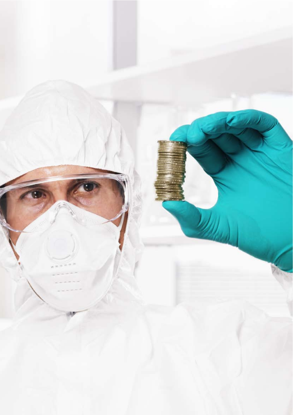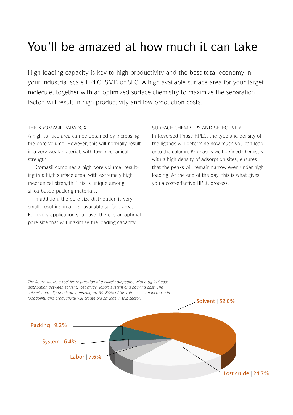## You'll be amazed at how much it can take

High loading capacity is key to high productivity and the best total economy in your industrial scale HPLC, SMB or SFC. A high available surface area for your target molecule, together with an optimized surface chemistry to maximize the separation factor, will result in high productivity and low production costs.

#### THE KROMASIL PARADOX

A high surface area can be obtained by increasing the pore volume. However, this will normally result in a very weak material, with low mechanical strength.

Kromasil combines a high pore volume, resulting in a high surface area, with extremely high mechanical strength. This is unique among silica-based packing materials.

In addition, the pore size distribution is very small, resulting in a high available surface area. For every application you have, there is an optimal pore size that will maximize the loading capacity.

#### SURFACE CHEMISTRY AND SELECTIVITY

In Reversed Phase HPLC, the type and density of the ligands will determine how much you can load onto the column. Kromasil's well-defined chemistry, with a high density of adsorption sites, ensures that the peaks will remain narrow even under high loading. At the end of the day, this is what gives you a cost-effective HPLC process.

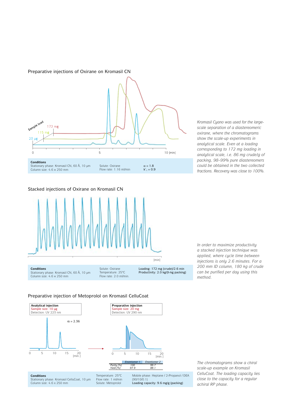Preparative injections of Oxirane on Kromasil CN



*Kromasil Cyano was used for the largescale separation of a diastereomeric oxirane, where the chromatograms show the scale-up experiments in analytical scale. Even at a loading corresponding to 172 mg loading in analytical scale, i.e. 86 mg crude/g of packing, 98–99% pure diastereomers could be obtained in the two collected fractions. Recovery was close to 100%.*

Stacked injections of Oxirane on Kromasil CN



*In order to maximize productivity a stacked injection technique was applied, where cycle time between injections is only 2.6 minutes. For a 200 mm ID column, 180 kg of crude can be purified per day using this method.*

#### Preparative injection of Metoprolol on Kromasil CelluCoat



*The chromatograms show a chiral scale-up example on Kromasil CelluCoat. The loading capacity lies close to the capacity for a regular achiral RP phase.*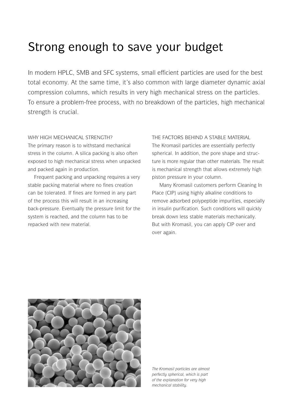# Strong enough to save your budget

In modern HPLC, SMB and SFC systems, small efficient particles are used for the best total economy. At the same time, it's also common with large diameter dynamic axial compression columns, which results in very high mechanical stress on the particles. To ensure a problem-free process, with no breakdown of the particles, high mechanical strength is crucial.

#### WHY HIGH MECHANICAL STRENGTH?

The primary reason is to withstand mechanical stress in the column. A silica packing is also often exposed to high mechanical stress when unpacked and packed again in production.

Frequent packing and unpacking requires a very stable packing material where no fines creation can be tolerated. If fines are formed in any part of the process this will result in an increasing back-pressure. Eventually the pressure limit for the system is reached, and the column has to be repacked with new material.

#### THE FACTORS BEHIND A STABLE MATERIAL

The Kromasil particles are essentially perfectly spherical. In addition, the pore shape and structure is more regular than other materials. The result is mechanical strength that allows extremely high piston pressure in your column.

Many Kromasil customers perform Cleaning In Place (CIP) using highly alkaline conditions to remove adsorbed polypeptide impurities, especially in insulin purification. Such conditions will quickly break down less stable materials mechanically. But with Kromasil, you can apply CIP over and over again.



*The Kromasil particles are almost perfectly spherical, which is part of the explanation for very high mechanical stability.*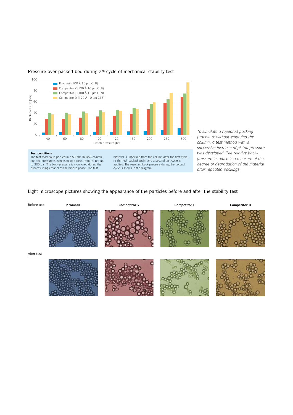

Pressure over packed bed during 2<sup>nd</sup> cycle of mechanical stability test

*To simulate a repeated packing procedure without emptying the column, a test method with a successive increase of piston pressure was developed. The relative backpressure increase is a measure of the degree of degradation of the material after repeated packings.* 

#### Light microscope pictures showing the appearance of the particles before and after the stability test

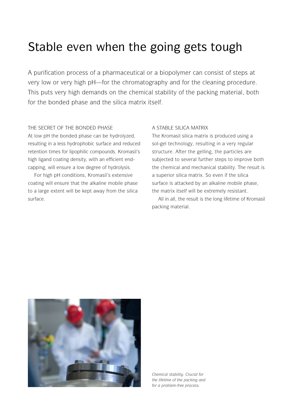# Stable even when the going gets tough

A purification process of a pharmaceutical or a biopolymer can consist of steps at very low or very high pH—for the chromatography and for the cleaning procedure. This puts very high demands on the chemical stability of the packing material, both for the bonded phase and the silica matrix itself.

#### THE SECRET OF THE BONDED PHASE

At low pH the bonded phase can be hydrolyzed, resulting in a less hydrophobic surface and reduced retention times for lipophilic compounds. Kromasil's high ligand coating density, with an efficient endcapping, will ensure a low degree of hydrolysis.

For high pH conditions, Kromasil's extensive coating will ensure that the alkaline mobile phase to a large extent will be kept away from the silica surface.

#### A STABLE SILICA MATRIX

The Kromasil silica matrix is produced using a sol-gel technology, resulting in a very regular structure. After the gelling, the particles are subjected to several further steps to improve both the chemical and mechanical stability. The result is a superior silica matrix. So even if the silica surface is attacked by an alkaline mobile phase, the matrix itself will be extremely resistant.

All in all, the result is the long lifetime of Kromasil packing material.



*Chemical stability: Crucial for the lifetime of the packing and for a problem-free process.*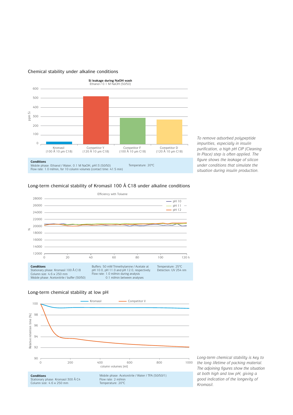#### Chemical stability under alkaline conditions



*To remove adsorbed polypeptide impurities, especially in insulin purification, a high pH CIP (Cleaning In Place) step is often applied. The figure shows the leakage of silicon under conditions that simulate the situation during insulin production.*

#### Long-term chemical stability of Kromasil 100 Å C18 under alkaline conditions



#### Long-term chemical stability at low pH



*Long-term chemical stability is key to the long lifetime of packing material. The adjoining figures show the situation at both high and low pH, giving a good indication of the longevity of Kromasil.*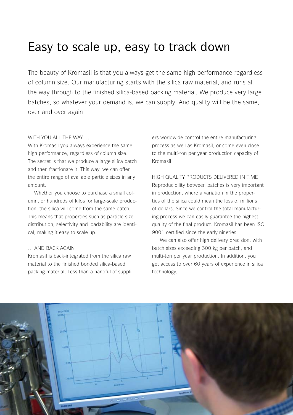### Easy to scale up, easy to track down

The beauty of Kromasil is that you always get the same high performance regardless of column size. Our manufacturing starts with the silica raw material, and runs all the way through to the finished silica-based packing material. We produce very large batches, so whatever your demand is, we can supply. And quality will be the same, over and over again.

#### WITH YOU ALL THE WAY

With Kromasil you always experience the same high performance, regardless of column size. The secret is that we produce a large silica batch and then fractionate it. This way, we can offer the entire range of available particle sizes in any amount.

Whether you choose to purchase a small column, or hundreds of kilos for large-scale production, the silica will come from the same batch. This means that properties such as particle size distribution, selectivity and loadability are identical, making it easy to scale up.

#### … AND BACK AGAIN

Kromasil is back-integrated from the silica raw material to the finished bonded silica-based packing material. Less than a handful of suppliers worldwide control the entire manufacturing process as well as Kromasil, or come even close to the multi-ton per year production capacity of Kromasil.

HIGH QUALITY PRODUCTS DELIVERED IN TIME Reproducibility between batches is very important in production, where a variation in the properties of the silica could mean the loss of millions of dollars. Since we control the total manufacturing process we can easily guarantee the highest quality of the final product. Kromasil has been ISO 9001 certified since the early nineties.

 We can also offer high delivery precision, with batch sizes exceeding 300 kg per batch, and multi-ton per year production. In addition, you get access to over 60 years of experience in silica technology.

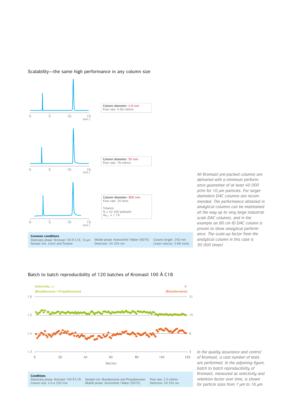Scalability—the same high performance in any column size



*All Kromasil pre-packed columns are delivered with a minimum performance guarantee of at least 40 000 pl/m for 10 µm particles. For larger diameters DAC columns are recommended. The performance obtained in analytical columns can be maintained all the way up to very large industrial scale DAC columns, and in the example an 80 cm ID DAC column is proven to show analytical performance. The scale-up factor from the analytical column in this case is 30 000 times!*



#### Batch to batch reproducibility of 120 batches of Kromasil 100 Å C18

*In the quality assurance and control of Kromasil, a vast number of tests are performed. In the adjoining figure, batch to batch reproducibility of Kromasil, measured as selectivity and retention factor over time, is shown for particle sizes from 7 µm to 16 µm.*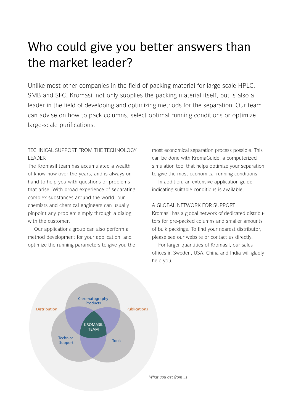# Who could give you better answers than the market leader?

Unlike most other companies in the field of packing material for large scale HPLC, SMB and SFC, Kromasil not only supplies the packing material itself, but is also a leader in the field of developing and optimizing methods for the separation. Our team can advise on how to pack columns, select optimal running conditions or optimize large-scale purifications.

#### TECHNICAL SUPPORT FROM THE TECHNOLOGY **LEADER**

The Kromasil team has accumulated a wealth of know-how over the years, and is always on hand to help you with questions or problems that arise. With broad experience of separating complex substances around the world, our chemists and chemical engineers can usually pinpoint any problem simply through a dialog with the customer.

Our applications group can also perform a method development for your application, and optimize the running parameters to give you the

most economical separation process possible. This can be done with KromaGuide, a computerized simulation tool that helps optimize your separation to give the most economical running conditions.

In addition, an extensive application guide indicating suitable conditions is available.

#### A GLOBAL NETWORK FOR SUPPORT

Kromasil has a global network of dedicated distributors for pre-packed columns and smaller amounts of bulk packings. To find your nearest distributor, please see our website or contact us directly.

For larger quantities of Kromasil, our sales offices in Sweden, USA, China and India will gladly help you.

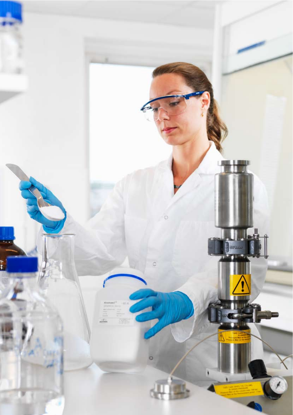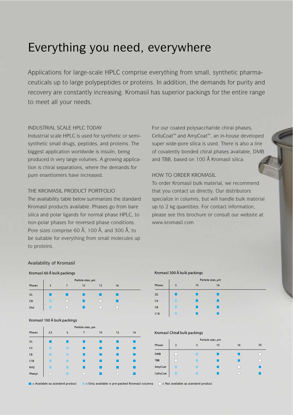### Everything you need, everywhere

Applications for large-scale HPLC comprise everything from small, synthetic pharmaceuticals up to large polypeptides or proteins. In addition, the demands for purity and recovery are constantly increasing. Kromasil has superior packings for the entire range to meet all your needs.

#### INDUSTRIAL SCALE HPLC TODAY

Industrial scale HPLC is used for synthetic or semisynthetic small drugs, peptides, and proteins. The biggest application worldwide is insulin, being produced in very large volumes. A growing application is chiral separations, where the demands for pure enantiomers have increased.

#### THE KROMASIL PRODUCT PORTFOLIO

The availability table below summarizes the standard Kromasil products available. Phases go from bare silica and polar ligands for normal phase HPLC, to non-polar phases for reversed phase conditions. Pore sizes comprise 60 Å, 100 Å, and 300 Å, to be suitable for everything from small molecules up to proteins.

For our coated polysaccharide chiral phases, CelluCoat™ and AmyCoat™, an in-house developed super wide-pore silica is used. There is also a line of covalently bonded chiral phases available, DMB and TBB, based on 100 Å Kromasil silica.

#### HOW TO ORDER KROMASIL

To order Kromasil bulk material, we recommend that you contact us directly. Our distributors specialize in columns, but will handle bulk material up to 2 kg quantities. For contact information, please see this brochure or consult our website at www.kromasil.com

#### Availability of Kromasil



### Kromasil 300 Å bulk packings

|                |   |    | $\mu$ and the size $\mu$ , $\mu$ |  |  |
|----------------|---|----|----------------------------------|--|--|
| Phases         | 5 | 10 | 16                               |  |  |
| SIL            |   |    |                                  |  |  |
| C <sub>4</sub> |   |    |                                  |  |  |
| C8             |   |    |                                  |  |  |
| C18            |   |    |                                  |  |  |
|                |   |    |                                  |  |  |

#### Kromasil Chiral bulk packings

| Particle sizes, um |     |   |    |    |    |  |  |  |
|--------------------|-----|---|----|----|----|--|--|--|
| Phases             | 3   | 5 | 10 | 16 | 25 |  |  |  |
| <b>DMB</b>         |     |   |    |    |    |  |  |  |
| TBB                | . . |   |    |    |    |  |  |  |
| AmyCoat            |     |   |    |    |    |  |  |  |
| CelluCoat          |     |   |    |    |    |  |  |  |

 $\blacksquare$  = Available as standard product.

 $\Box$  = Only available in pre-packed Kromasil columns  $\Box$  = Not available as standard product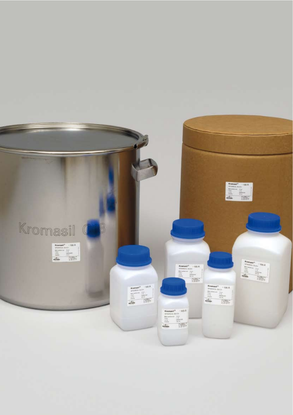